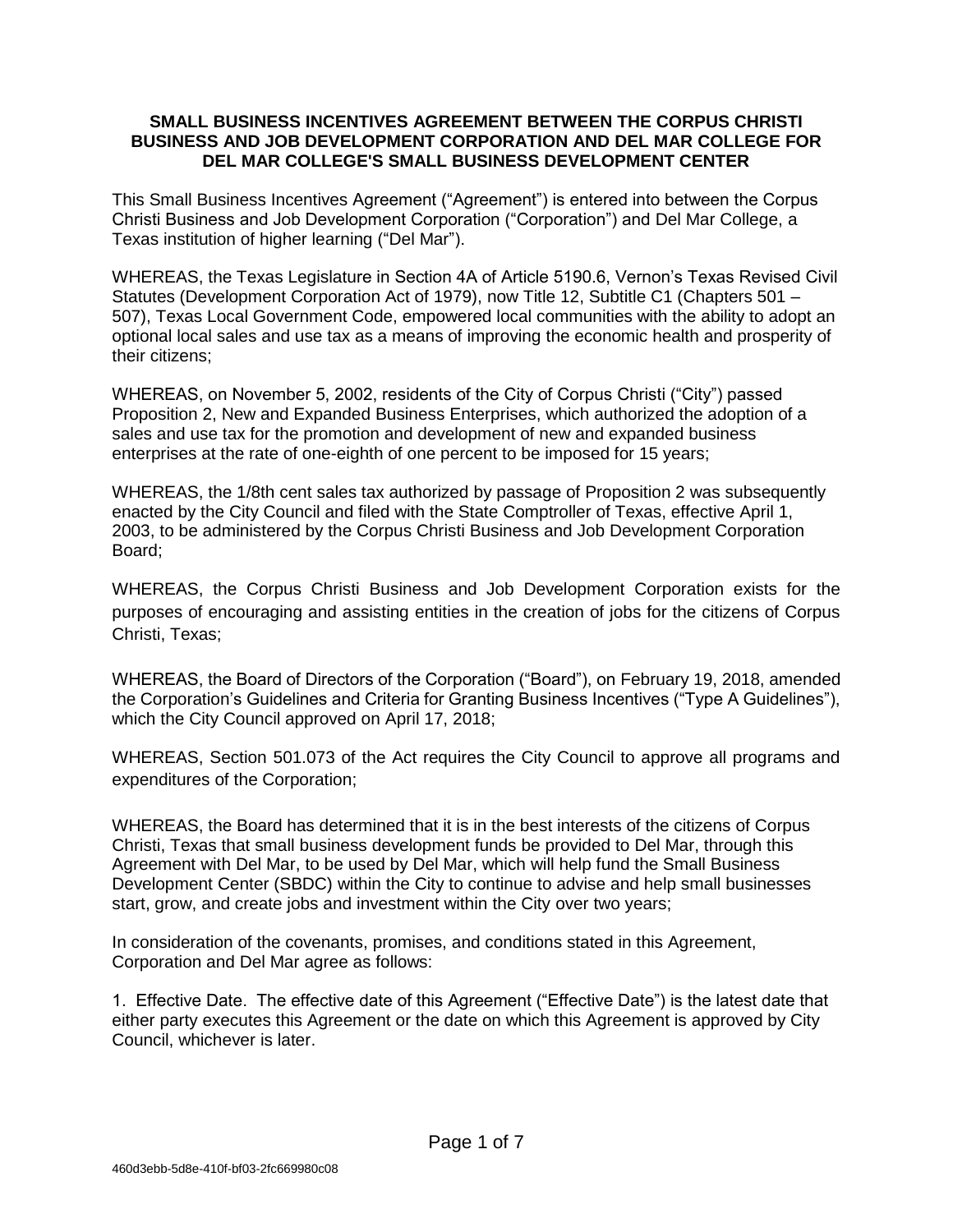## **SMALL BUSINESS INCENTIVES AGREEMENT BETWEEN THE CORPUS CHRISTI BUSINESS AND JOB DEVELOPMENT CORPORATION AND DEL MAR COLLEGE FOR DEL MAR COLLEGE'S SMALL BUSINESS DEVELOPMENT CENTER**

This Small Business Incentives Agreement ("Agreement") is entered into between the Corpus Christi Business and Job Development Corporation ("Corporation") and Del Mar College, a Texas institution of higher learning ("Del Mar").

WHEREAS, the Texas Legislature in Section 4A of Article 5190.6, Vernon's Texas Revised Civil Statutes (Development Corporation Act of 1979), now Title 12, Subtitle C1 (Chapters 501 – 507), Texas Local Government Code, empowered local communities with the ability to adopt an optional local sales and use tax as a means of improving the economic health and prosperity of their citizens;

WHEREAS, on November 5, 2002, residents of the City of Corpus Christi ("City") passed Proposition 2, New and Expanded Business Enterprises, which authorized the adoption of a sales and use tax for the promotion and development of new and expanded business enterprises at the rate of one-eighth of one percent to be imposed for 15 years;

WHEREAS, the 1/8th cent sales tax authorized by passage of Proposition 2 was subsequently enacted by the City Council and filed with the State Comptroller of Texas, effective April 1, 2003, to be administered by the Corpus Christi Business and Job Development Corporation Board;

WHEREAS, the Corpus Christi Business and Job Development Corporation exists for the purposes of encouraging and assisting entities in the creation of jobs for the citizens of Corpus Christi, Texas;

WHEREAS, the Board of Directors of the Corporation ("Board"), on February 19, 2018, amended the Corporation's Guidelines and Criteria for Granting Business Incentives ("Type A Guidelines"), which the City Council approved on April 17, 2018;

WHEREAS, Section 501.073 of the Act requires the City Council to approve all programs and expenditures of the Corporation;

WHEREAS, the Board has determined that it is in the best interests of the citizens of Corpus Christi, Texas that small business development funds be provided to Del Mar, through this Agreement with Del Mar, to be used by Del Mar, which will help fund the Small Business Development Center (SBDC) within the City to continue to advise and help small businesses start, grow, and create jobs and investment within the City over two years;

In consideration of the covenants, promises, and conditions stated in this Agreement, Corporation and Del Mar agree as follows:

1. Effective Date. The effective date of this Agreement ("Effective Date") is the latest date that either party executes this Agreement or the date on which this Agreement is approved by City Council, whichever is later.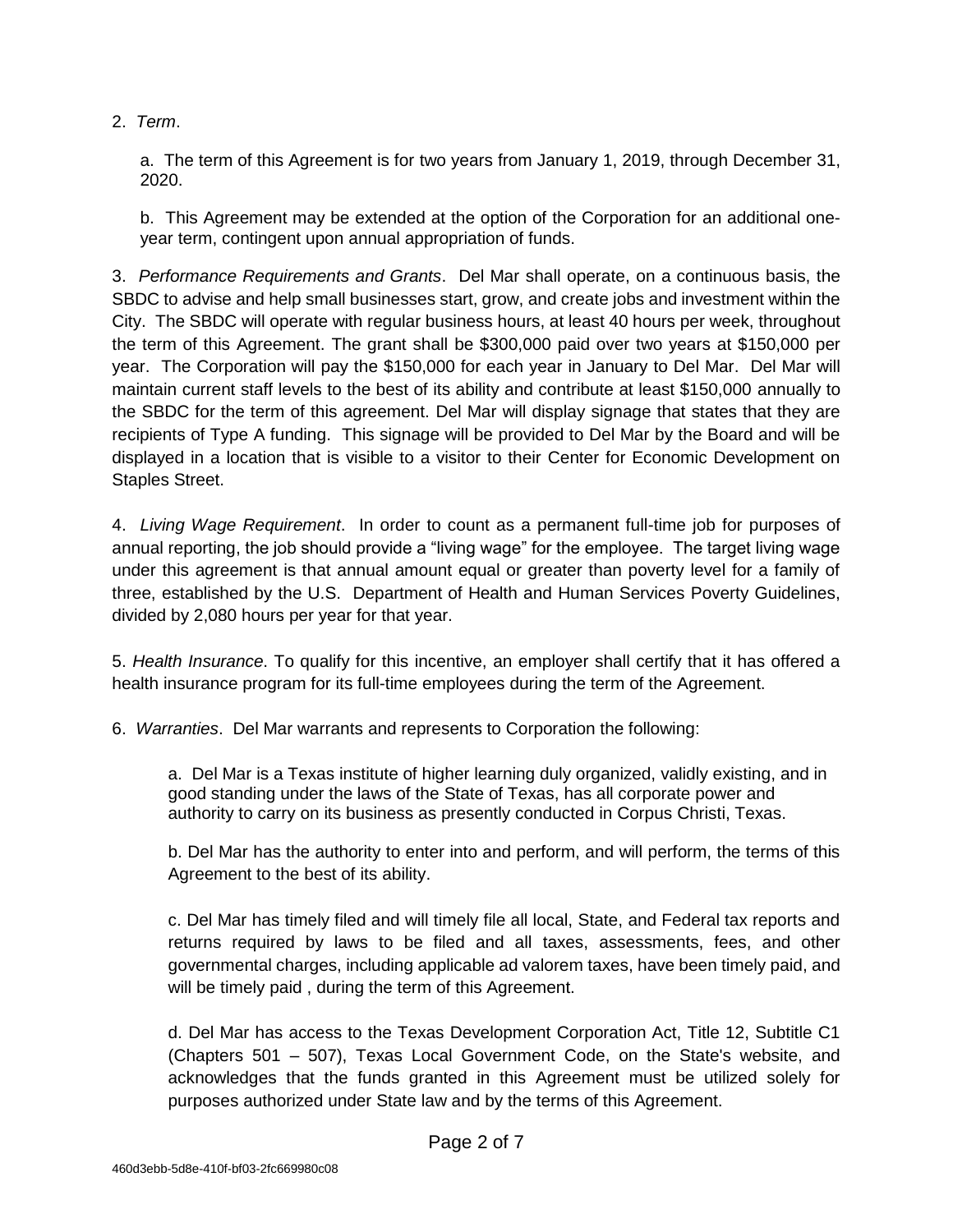2. *Term*.

a. The term of this Agreement is for two years from January 1, 2019, through December 31, 2020.

b. This Agreement may be extended at the option of the Corporation for an additional oneyear term, contingent upon annual appropriation of funds.

3. *Performance Requirements and Grants*. Del Mar shall operate, on a continuous basis, the SBDC to advise and help small businesses start, grow, and create jobs and investment within the City. The SBDC will operate with regular business hours, at least 40 hours per week, throughout the term of this Agreement. The grant shall be \$300,000 paid over two years at \$150,000 per year. The Corporation will pay the \$150,000 for each year in January to Del Mar. Del Mar will maintain current staff levels to the best of its ability and contribute at least \$150,000 annually to the SBDC for the term of this agreement. Del Mar will display signage that states that they are recipients of Type A funding. This signage will be provided to Del Mar by the Board and will be displayed in a location that is visible to a visitor to their Center for Economic Development on Staples Street.

4. *Living Wage Requirement*. In order to count as a permanent full-time job for purposes of annual reporting, the job should provide a "living wage" for the employee. The target living wage under this agreement is that annual amount equal or greater than poverty level for a family of three, established by the U.S. Department of Health and Human Services Poverty Guidelines, divided by 2,080 hours per year for that year.

5. *Health Insurance*. To qualify for this incentive, an employer shall certify that it has offered a health insurance program for its full-time employees during the term of the Agreement.

6. *Warranties*. Del Mar warrants and represents to Corporation the following:

a. Del Mar is a Texas institute of higher learning duly organized, validly existing, and in good standing under the laws of the State of Texas, has all corporate power and authority to carry on its business as presently conducted in Corpus Christi, Texas.

b. Del Mar has the authority to enter into and perform, and will perform, the terms of this Agreement to the best of its ability.

c. Del Mar has timely filed and will timely file all local, State, and Federal tax reports and returns required by laws to be filed and all taxes, assessments, fees, and other governmental charges, including applicable ad valorem taxes, have been timely paid, and will be timely paid , during the term of this Agreement.

d. Del Mar has access to the Texas Development Corporation Act, Title 12, Subtitle C1 (Chapters 501 – 507), Texas Local Government Code, on the State's website, and acknowledges that the funds granted in this Agreement must be utilized solely for purposes authorized under State law and by the terms of this Agreement.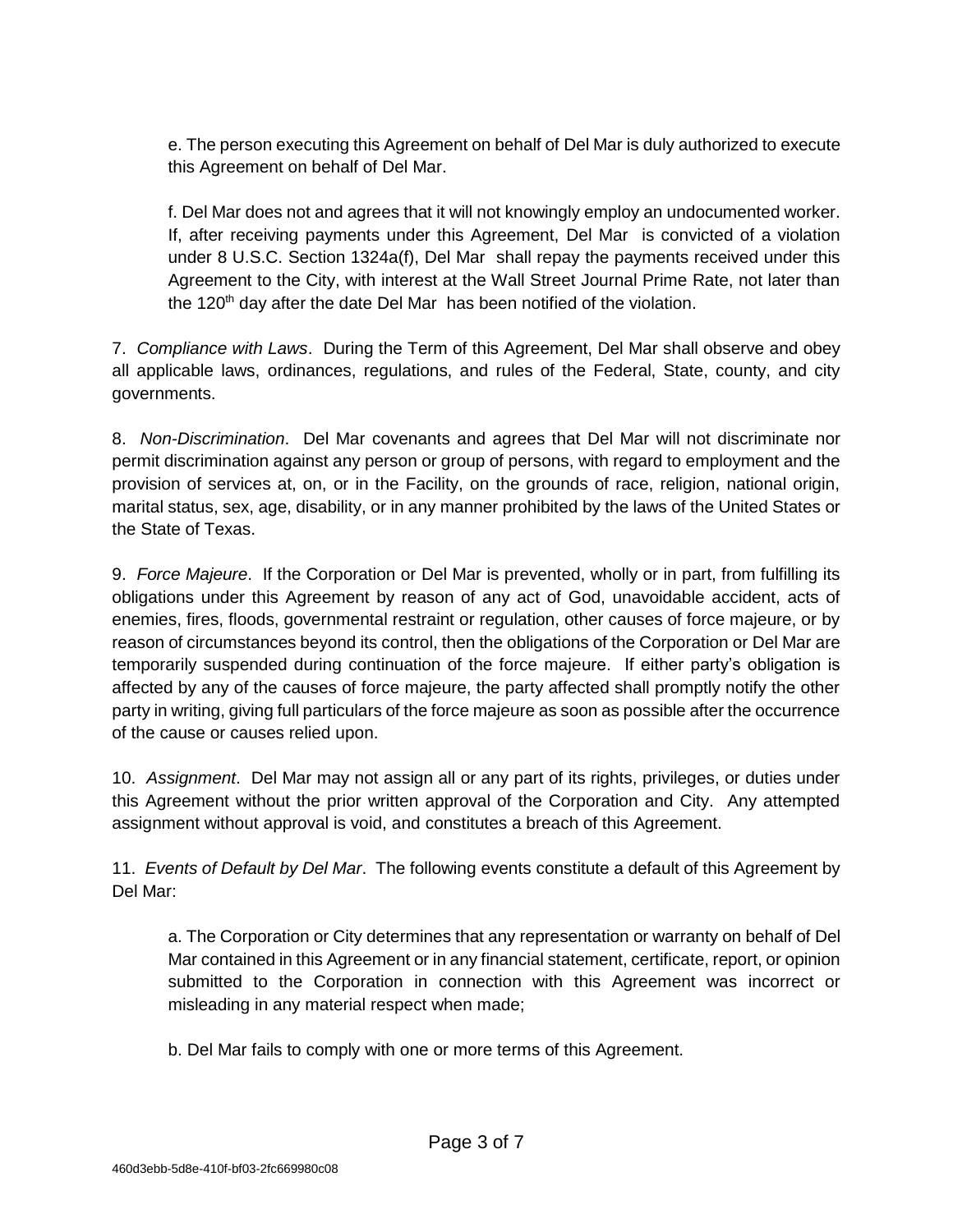e. The person executing this Agreement on behalf of Del Mar is duly authorized to execute this Agreement on behalf of Del Mar.

f. Del Mar does not and agrees that it will not knowingly employ an undocumented worker. If, after receiving payments under this Agreement, Del Mar is convicted of a violation under 8 U.S.C. Section 1324a(f), Del Mar shall repay the payments received under this Agreement to the City, with interest at the Wall Street Journal Prime Rate, not later than the 120<sup>th</sup> day after the date Del Mar has been notified of the violation.

7. *Compliance with Laws*. During the Term of this Agreement, Del Mar shall observe and obey all applicable laws, ordinances, regulations, and rules of the Federal, State, county, and city governments.

8. *Non-Discrimination*. Del Mar covenants and agrees that Del Mar will not discriminate nor permit discrimination against any person or group of persons, with regard to employment and the provision of services at, on, or in the Facility, on the grounds of race, religion, national origin, marital status, sex, age, disability, or in any manner prohibited by the laws of the United States or the State of Texas.

9. *Force Majeure*. If the Corporation or Del Mar is prevented, wholly or in part, from fulfilling its obligations under this Agreement by reason of any act of God, unavoidable accident, acts of enemies, fires, floods, governmental restraint or regulation, other causes of force majeure, or by reason of circumstances beyond its control, then the obligations of the Corporation or Del Mar are temporarily suspended during continuation of the force majeure. If either party's obligation is affected by any of the causes of force majeure, the party affected shall promptly notify the other party in writing, giving full particulars of the force majeure as soon as possible after the occurrence of the cause or causes relied upon.

10. *Assignment*. Del Mar may not assign all or any part of its rights, privileges, or duties under this Agreement without the prior written approval of the Corporation and City. Any attempted assignment without approval is void, and constitutes a breach of this Agreement.

11. *Events of Default by Del Mar*. The following events constitute a default of this Agreement by Del Mar:

a. The Corporation or City determines that any representation or warranty on behalf of Del Mar contained in this Agreement or in any financial statement, certificate, report, or opinion submitted to the Corporation in connection with this Agreement was incorrect or misleading in any material respect when made;

b. Del Mar fails to comply with one or more terms of this Agreement.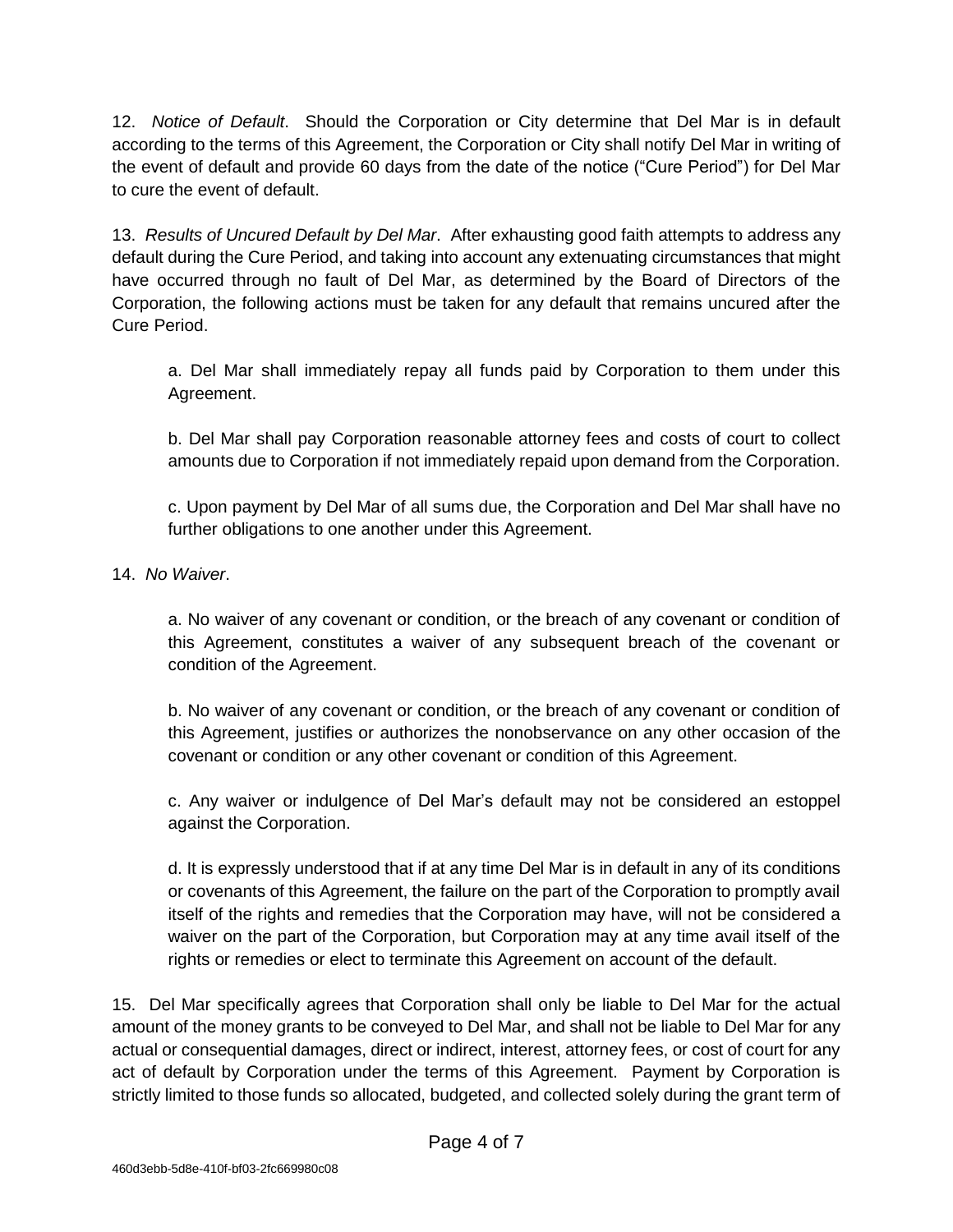12. *Notice of Default*. Should the Corporation or City determine that Del Mar is in default according to the terms of this Agreement, the Corporation or City shall notify Del Mar in writing of the event of default and provide 60 days from the date of the notice ("Cure Period") for Del Mar to cure the event of default.

13. *Results of Uncured Default by Del Mar*. After exhausting good faith attempts to address any default during the Cure Period, and taking into account any extenuating circumstances that might have occurred through no fault of Del Mar, as determined by the Board of Directors of the Corporation, the following actions must be taken for any default that remains uncured after the Cure Period.

a. Del Mar shall immediately repay all funds paid by Corporation to them under this Agreement.

b. Del Mar shall pay Corporation reasonable attorney fees and costs of court to collect amounts due to Corporation if not immediately repaid upon demand from the Corporation.

c. Upon payment by Del Mar of all sums due, the Corporation and Del Mar shall have no further obligations to one another under this Agreement.

14. *No Waiver*.

a. No waiver of any covenant or condition, or the breach of any covenant or condition of this Agreement, constitutes a waiver of any subsequent breach of the covenant or condition of the Agreement.

b. No waiver of any covenant or condition, or the breach of any covenant or condition of this Agreement, justifies or authorizes the nonobservance on any other occasion of the covenant or condition or any other covenant or condition of this Agreement.

c. Any waiver or indulgence of Del Mar's default may not be considered an estoppel against the Corporation.

d. It is expressly understood that if at any time Del Mar is in default in any of its conditions or covenants of this Agreement, the failure on the part of the Corporation to promptly avail itself of the rights and remedies that the Corporation may have, will not be considered a waiver on the part of the Corporation, but Corporation may at any time avail itself of the rights or remedies or elect to terminate this Agreement on account of the default.

15. Del Mar specifically agrees that Corporation shall only be liable to Del Mar for the actual amount of the money grants to be conveyed to Del Mar, and shall not be liable to Del Mar for any actual or consequential damages, direct or indirect, interest, attorney fees, or cost of court for any act of default by Corporation under the terms of this Agreement. Payment by Corporation is strictly limited to those funds so allocated, budgeted, and collected solely during the grant term of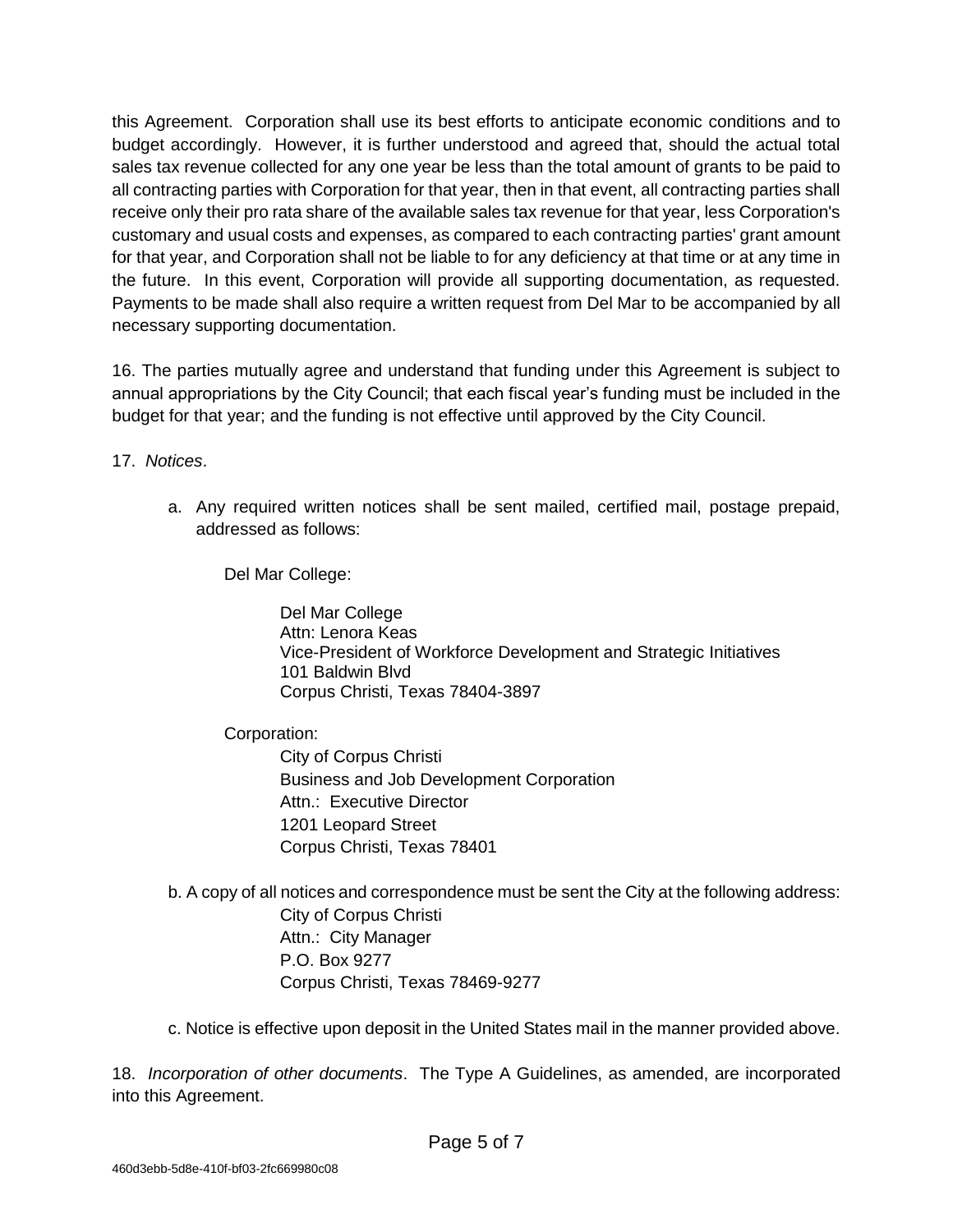this Agreement. Corporation shall use its best efforts to anticipate economic conditions and to budget accordingly. However, it is further understood and agreed that, should the actual total sales tax revenue collected for any one year be less than the total amount of grants to be paid to all contracting parties with Corporation for that year, then in that event, all contracting parties shall receive only their pro rata share of the available sales tax revenue for that year, less Corporation's customary and usual costs and expenses, as compared to each contracting parties' grant amount for that year, and Corporation shall not be liable to for any deficiency at that time or at any time in the future. In this event, Corporation will provide all supporting documentation, as requested. Payments to be made shall also require a written request from Del Mar to be accompanied by all necessary supporting documentation.

16. The parties mutually agree and understand that funding under this Agreement is subject to annual appropriations by the City Council; that each fiscal year's funding must be included in the budget for that year; and the funding is not effective until approved by the City Council.

17. *Notices*.

a. Any required written notices shall be sent mailed, certified mail, postage prepaid, addressed as follows:

Del Mar College:

Del Mar College Attn: Lenora Keas Vice-President of Workforce Development and Strategic Initiatives 101 Baldwin Blvd Corpus Christi, Texas 78404-3897

Corporation:

City of Corpus Christi Business and Job Development Corporation Attn.: Executive Director 1201 Leopard Street Corpus Christi, Texas 78401

- b. A copy of all notices and correspondence must be sent the City at the following address: City of Corpus Christi Attn.: City Manager P.O. Box 9277 Corpus Christi, Texas 78469-9277
- c. Notice is effective upon deposit in the United States mail in the manner provided above.

18. *Incorporation of other documents*. The Type A Guidelines, as amended, are incorporated into this Agreement.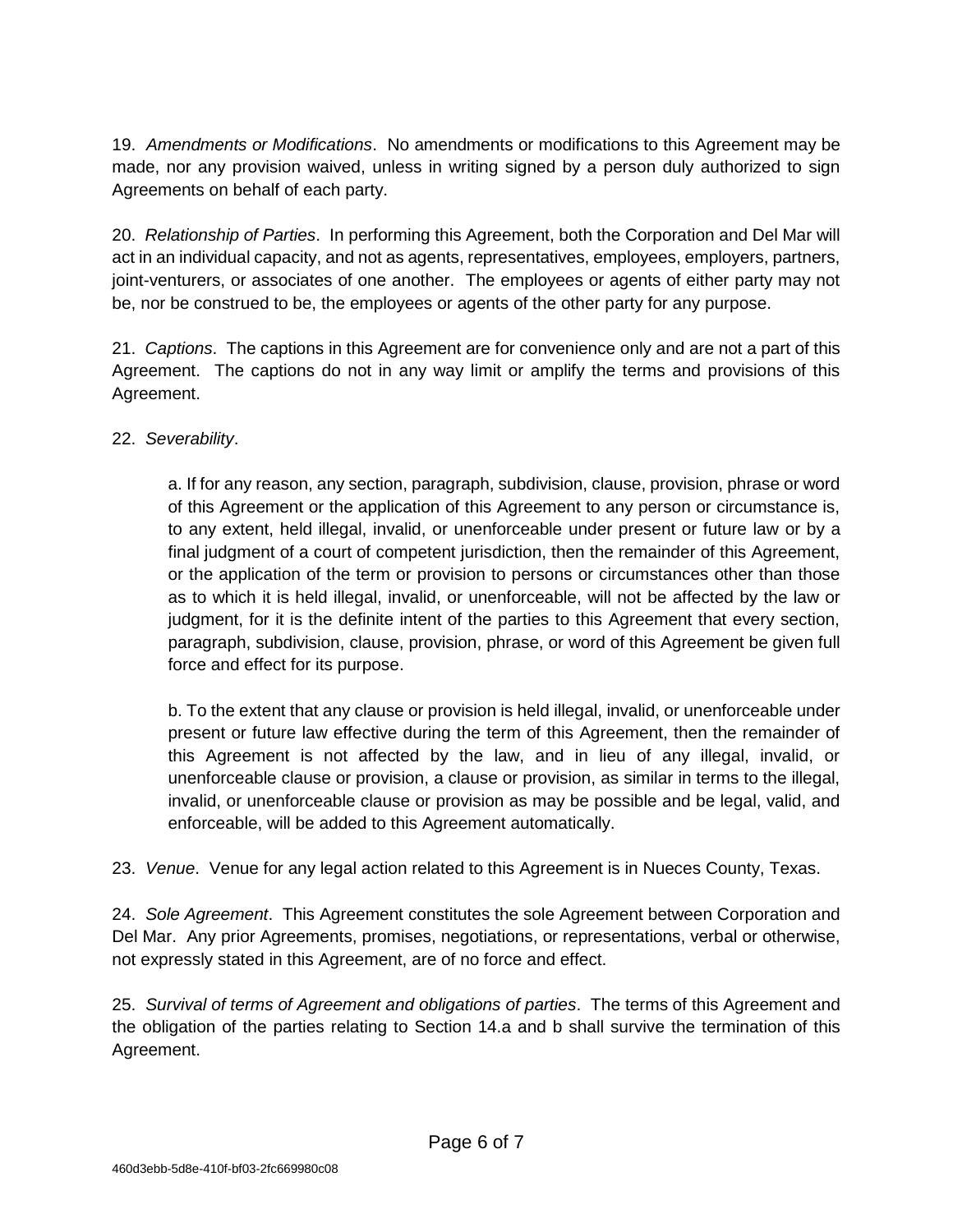19. *Amendments or Modifications*. No amendments or modifications to this Agreement may be made, nor any provision waived, unless in writing signed by a person duly authorized to sign Agreements on behalf of each party.

20. *Relationship of Parties*. In performing this Agreement, both the Corporation and Del Mar will act in an individual capacity, and not as agents, representatives, employees, employers, partners, joint-venturers, or associates of one another. The employees or agents of either party may not be, nor be construed to be, the employees or agents of the other party for any purpose.

21. *Captions*. The captions in this Agreement are for convenience only and are not a part of this Agreement. The captions do not in any way limit or amplify the terms and provisions of this Agreement.

## 22. *Severability*.

a. If for any reason, any section, paragraph, subdivision, clause, provision, phrase or word of this Agreement or the application of this Agreement to any person or circumstance is, to any extent, held illegal, invalid, or unenforceable under present or future law or by a final judgment of a court of competent jurisdiction, then the remainder of this Agreement, or the application of the term or provision to persons or circumstances other than those as to which it is held illegal, invalid, or unenforceable, will not be affected by the law or judgment, for it is the definite intent of the parties to this Agreement that every section, paragraph, subdivision, clause, provision, phrase, or word of this Agreement be given full force and effect for its purpose.

b. To the extent that any clause or provision is held illegal, invalid, or unenforceable under present or future law effective during the term of this Agreement, then the remainder of this Agreement is not affected by the law, and in lieu of any illegal, invalid, or unenforceable clause or provision, a clause or provision, as similar in terms to the illegal, invalid, or unenforceable clause or provision as may be possible and be legal, valid, and enforceable, will be added to this Agreement automatically.

23. *Venue*. Venue for any legal action related to this Agreement is in Nueces County, Texas.

24. *Sole Agreement*. This Agreement constitutes the sole Agreement between Corporation and Del Mar. Any prior Agreements, promises, negotiations, or representations, verbal or otherwise, not expressly stated in this Agreement, are of no force and effect.

25. *Survival of terms of Agreement and obligations of parties*. The terms of this Agreement and the obligation of the parties relating to Section 14.a and b shall survive the termination of this Agreement.